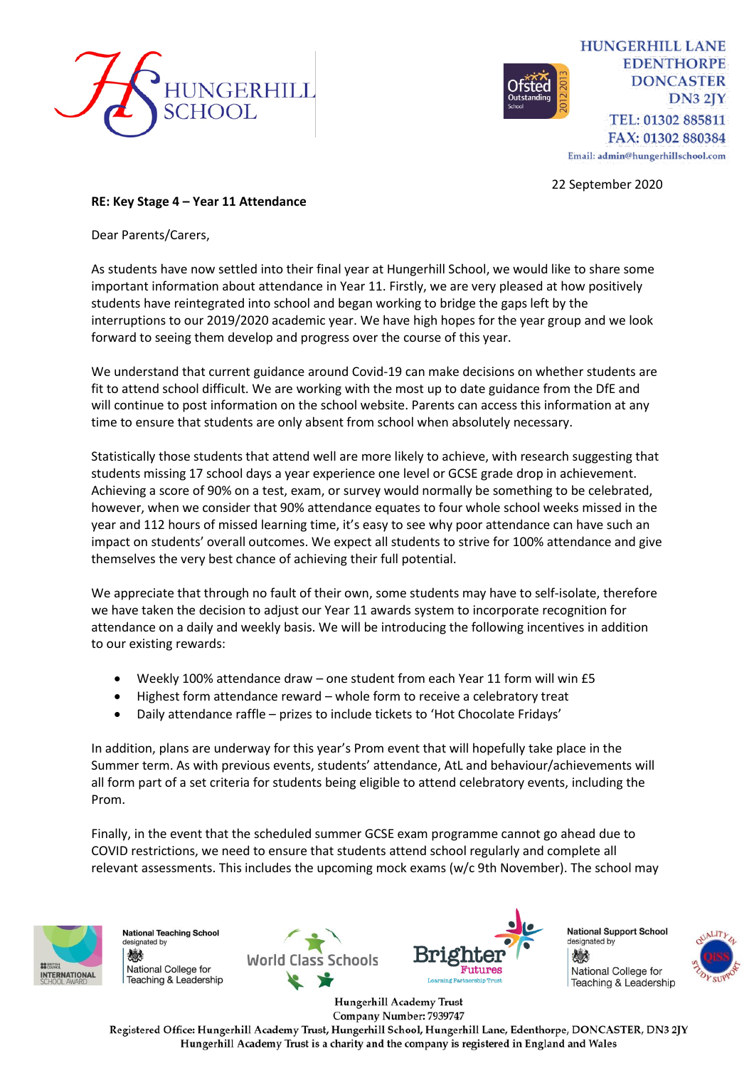



22 September 2020

## **RE: Key Stage 4 – Year 11 Attendance**

Dear Parents/Carers,

As students have now settled into their final year at Hungerhill School, we would like to share some important information about attendance in Year 11. Firstly, we are very pleased at how positively students have reintegrated into school and began working to bridge the gaps left by the interruptions to our 2019/2020 academic year. We have high hopes for the year group and we look forward to seeing them develop and progress over the course of this year.

We understand that current guidance around Covid-19 can make decisions on whether students are fit to attend school difficult. We are working with the most up to date guidance from the DfE and will continue to post information on the school website. Parents can access this information at any time to ensure that students are only absent from school when absolutely necessary.

Statistically those students that attend well are more likely to achieve, with research suggesting that students missing 17 school days a year experience one level or GCSE grade drop in achievement. Achieving a score of 90% on a test, exam, or survey would normally be something to be celebrated, however, when we consider that 90% attendance equates to four whole school weeks missed in the year and 112 hours of missed learning time, it's easy to see why poor attendance can have such an impact on students' overall outcomes. We expect all students to strive for 100% attendance and give themselves the very best chance of achieving their full potential.

We appreciate that through no fault of their own, some students may have to self-isolate, therefore we have taken the decision to adjust our Year 11 awards system to incorporate recognition for attendance on a daily and weekly basis. We will be introducing the following incentives in addition to our existing rewards:

- Weekly 100% attendance draw one student from each Year 11 form will win £5
- Highest form attendance reward whole form to receive a celebratory treat
- Daily attendance raffle prizes to include tickets to 'Hot Chocolate Fridays'

In addition, plans are underway for this year's Prom event that will hopefully take place in the Summer term. As with previous events, students' attendance, AtL and behaviour/achievements will all form part of a set criteria for students being eligible to attend celebratory events, including the Prom.

Finally, in the event that the scheduled summer GCSE exam programme cannot go ahead due to COVID restrictions, we need to ensure that students attend school regularly and complete all relevant assessments. This includes the upcoming mock exams (w/c 9th November). The school may



**National Teaching School** designated by 燃 National College for Teaching & Leadership





**National Support School** designated by 燃 National College for Teaching & Leadership



Hungerhill Academy Trust Company Number: 7939747

Registered Office: Hungerhill Academy Trust, Hungerhill School, Hungerhill Lane, Edenthorpe, DONCASTER, DN3 2JY Hungerhill Academy Trust is a charity and the company is registered in England and Wales